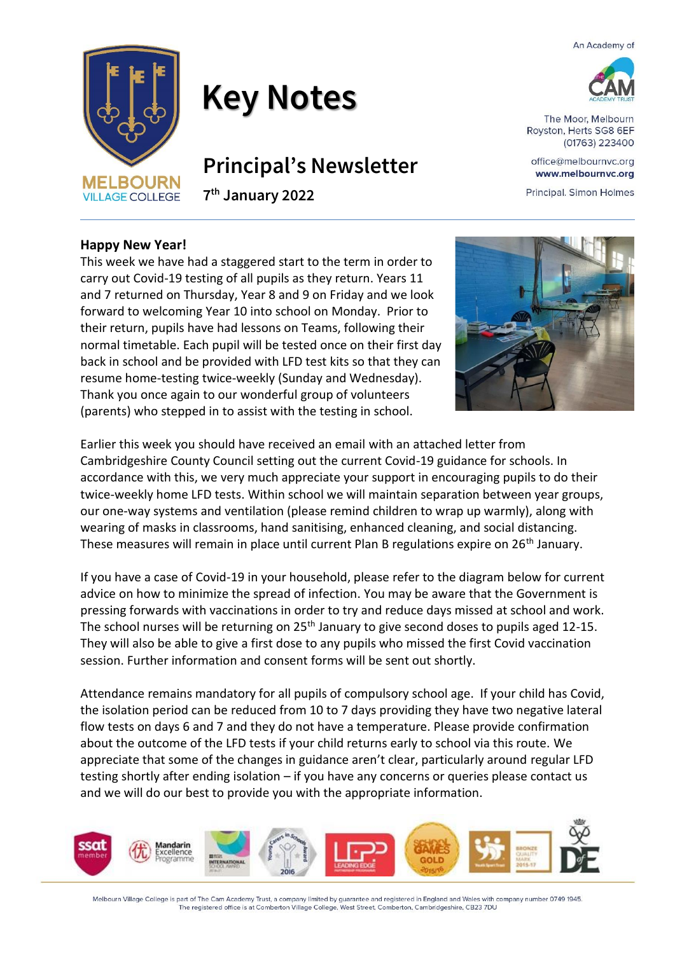An Academy of





## **Key Notes**

### **Principal's Newsletter**

**7 th January 2022**

# The Moor, Melbourn

Royston, Herts SG8 6EF (01763) 223400

office@melbournvc.org www.melbournvc.org

Principal. Simon Holmes

#### **Happy New Year!**

This week we have had a staggered start to the term in order to carry out Covid-19 testing of all pupils as they return. Years 11 and 7 returned on Thursday, Year 8 and 9 on Friday and we look forward to welcoming Year 10 into school on Monday. Prior to their return, pupils have had lessons on Teams, following their normal timetable. Each pupil will be tested once on their first day back in school and be provided with LFD test kits so that they can resume home-testing twice-weekly (Sunday and Wednesday). Thank you once again to our wonderful group of volunteers (parents) who stepped in to assist with the testing in school.



Earlier this week you should have received an email with an attached letter from Cambridgeshire County Council setting out the current Covid-19 guidance for schools. In accordance with this, we very much appreciate your support in encouraging pupils to do their twice-weekly home LFD tests. Within school we will maintain separation between year groups, our one-way systems and ventilation (please remind children to wrap up warmly), along with wearing of masks in classrooms, hand sanitising, enhanced cleaning, and social distancing. These measures will remain in place until current Plan B regulations expire on 26<sup>th</sup> January.

If you have a case of Covid-19 in your household, please refer to the diagram below for current advice on how to minimize the spread of infection. You may be aware that the Government is pressing forwards with vaccinations in order to try and reduce days missed at school and work. The school nurses will be returning on 25<sup>th</sup> January to give second doses to pupils aged 12-15. They will also be able to give a first dose to any pupils who missed the first Covid vaccination session. Further information and consent forms will be sent out shortly.

Attendance remains mandatory for all pupils of compulsory school age. If your child has Covid, the isolation period can be reduced from 10 to 7 days providing they have two negative lateral flow tests on days 6 and 7 and they do not have a temperature. Please provide confirmation about the outcome of the LFD tests if your child returns early to school via this route. We appreciate that some of the changes in guidance aren't clear, particularly around regular LFD testing shortly after ending isolation – if you have any concerns or queries please contact us and we will do our best to provide you with the appropriate information.



Melbourn Village College is part of The Cam Academy Trust, a company limited by guarantee and registered in England and Wales with company number 0749 1945. The registered office is at Comberton Village College, West Street, Comberton, Cambridgeshire, CB23 7DU